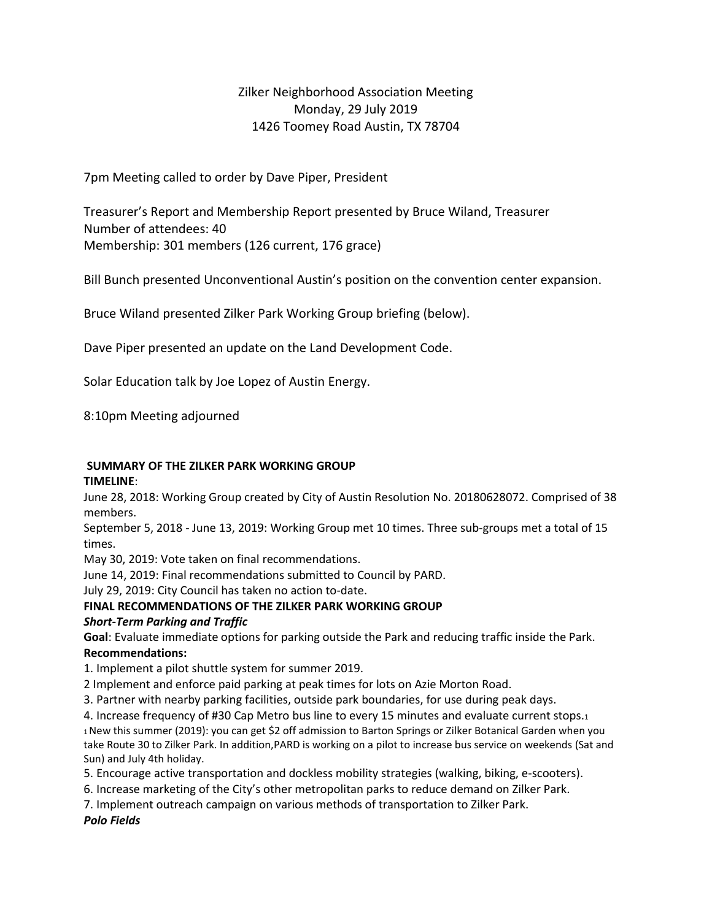# Zilker Neighborhood Association Meeting Monday, 29 July 2019 1426 Toomey Road Austin, TX 78704

7pm Meeting called to order by Dave Piper, President

Treasurer's Report and Membership Report presented by Bruce Wiland, Treasurer Number of attendees: 40 Membership: 301 members (126 current, 176 grace)

Bill Bunch presented Unconventional Austin's position on the convention center expansion.

Bruce Wiland presented Zilker Park Working Group briefing (below).

Dave Piper presented an update on the Land Development Code.

Solar Education talk by Joe Lopez of Austin Energy.

8:10pm Meeting adjourned

# **SUMMARY OF THE ZILKER PARK WORKING GROUP**

#### **TIMELINE**:

June 28, 2018: Working Group created by City of Austin Resolution No. 20180628072. Comprised of 38 members.

September 5, 2018 - June 13, 2019: Working Group met 10 times. Three sub-groups met a total of 15 times.

May 30, 2019: Vote taken on final recommendations.

June 14, 2019: Final recommendations submitted to Council by PARD.

July 29, 2019: City Council has taken no action to-date.

#### **FINAL RECOMMENDATIONS OF THE ZILKER PARK WORKING GROUP**  *Short-Term Parking and Traffic*

**Goal**: Evaluate immediate options for parking outside the Park and reducing traffic inside the Park. **Recommendations:** 

1. Implement a pilot shuttle system for summer 2019.

2 Implement and enforce paid parking at peak times for lots on Azie Morton Road.

3. Partner with nearby parking facilities, outside park boundaries, for use during peak days.

4. Increase frequency of #30 Cap Metro bus line to every 15 minutes and evaluate current stops.1 1 New this summer (2019): you can get \$2 off admission to Barton Springs or Zilker Botanical Garden when you take Route 30 to Zilker Park. In addition,PARD is working on a pilot to increase bus service on weekends (Sat and Sun) and July 4th holiday.

5. Encourage active transportation and dockless mobility strategies (walking, biking, e-scooters).

6. Increase marketing of the City's other metropolitan parks to reduce demand on Zilker Park.

7. Implement outreach campaign on various methods of transportation to Zilker Park.

*Polo Fields*